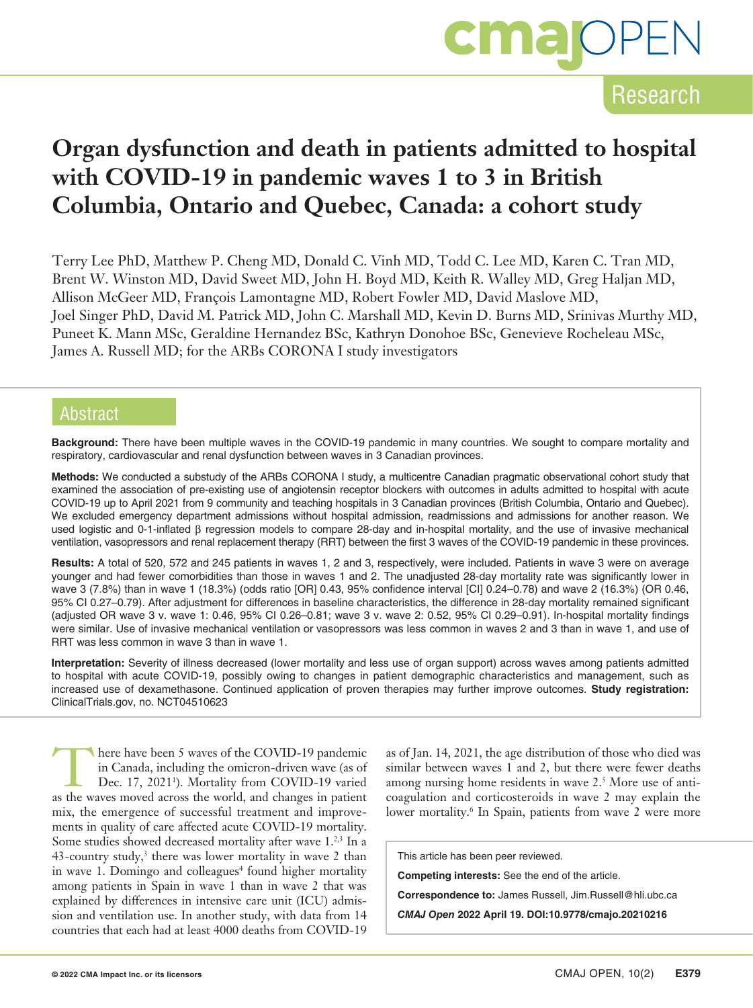

## **Organ dysfunction and death in patients admitted to hospital with COVID-19 in pandemic waves 1 to 3 in British Columbia, Ontario and Quebec, Canada: a cohort study**

Terry Lee PhD, Matthew P. Cheng MD, Donald C. Vinh MD, Todd C. Lee MD, Karen C. Tran MD, Brent W. Winston MD, David Sweet MD, John H. Boyd MD, Keith R. Walley MD, Greg Haljan MD, Allison McGeer MD, François Lamontagne MD, Robert Fowler MD, David Maslove MD, Joel Singer PhD, David M. Patrick MD, John C. Marshall MD, Kevin D. Burns MD, Srinivas Murthy MD, Puneet K. Mann MSc, Geraldine Hernandez BSc, Kathryn Donohoe BSc, Genevieve Rocheleau MSc, James A. Russell MD; for the ARBs CORONA I study investigators

### **Abstract**

**Background:** There have been multiple waves in the COVID-19 pandemic in many countries. We sought to compare mortality and respiratory, cardiovascular and renal dysfunction between waves in 3 Canadian provinces.

**Methods:** We conducted a substudy of the ARBs CORONA I study, a multicentre Canadian pragmatic observational cohort study that examined the association of pre-existing use of angiotensin receptor blockers with outcomes in adults admitted to hospital with acute COVID-19 up to April 2021 from 9 community and teaching hospitals in 3 Canadian provinces (British Columbia, Ontario and Quebec). We excluded emergency department admissions without hospital admission, readmissions and admissions for another reason. We used logistic and 0-1-inflated β regression models to compare 28-day and in-hospital mortality, and the use of invasive mechanical ventilation, vasopressors and renal replacement therapy (RRT) between the first 3 waves of the COVID-19 pandemic in these provinces.

**Results:** A total of 520, 572 and 245 patients in waves 1, 2 and 3, respectively, were included. Patients in wave 3 were on average younger and had fewer comorbidities than those in waves 1 and 2. The unadjusted 28-day mortality rate was significantly lower in wave 3 (7.8%) than in wave 1 (18.3%) (odds ratio [OR] 0.43, 95% confidence interval [CI] 0.24–0.78) and wave 2 (16.3%) (OR 0.46, 95% CI 0.27–0.79). After adjustment for differences in baseline characteristics, the difference in 28-day mortality remained significant (adjusted OR wave 3 v. wave 1: 0.46, 95% CI 0.26–0.81; wave 3 v. wave 2: 0.52, 95% CI 0.29–0.91). In-hospital mortality findings were similar. Use of invasive mechanical ventilation or vasopressors was less common in waves 2 and 3 than in wave 1, and use of RRT was less common in wave 3 than in wave 1.

**Interpretation:** Severity of illness decreased (lower mortality and less use of organ support) across waves among patients admitted to hospital with acute COVID-19, possibly owing to changes in patient demographic characteristics and management, such as increased use of dexamethasone. Continued application of proven therapies may further improve outcomes. **Study registration:** ClinicalTrials.gov, no. NCT04510623

here have been 5 waves of the COVID-19 pandemic<br>in Canada, including the omicron-driven wave (as of<br>Dec. 17, 2021<sup>1</sup>). Mortality from COVID-19 varied<br>as the waves moved across the world, and changes in patient. in Canada, including the omicron-driven wave (as of Dec. 17, 2021<sup>1</sup>). Mortality from COVID-19 varied as the waves moved across the world, and changes in patient mix, the emergence of successful treatment and improvements in quality of care affected acute COVID-19 mortality. Some studies showed decreased mortality after wave 1.<sup>2,3</sup> In a  $43$ -country study,<sup>3</sup> there was lower mortality in wave 2 than in wave 1. Domingo and colleagues<sup>4</sup> found higher mortality among patients in Spain in wave 1 than in wave 2 that was explained by differences in intensive care unit (ICU) admission and ventilation use. In another study, with data from 14 countries that each had at least 4000 deaths from COVID-19

as of Jan. 14, 2021, the age distribution of those who died was similar between waves 1 and 2, but there were fewer deaths among nursing home residents in wave 2.<sup>5</sup> More use of anticoagulation and corticosteroids in wave 2 may explain the lower mortality.<sup>6</sup> In Spain, patients from wave 2 were more

This article has been peer reviewed.

**Competing interests:** See the end of the article.

**Correspondence to:** James Russell, Jim.Russell@hli.ubc.ca

*CMAJ Open* **2022 April 19. DOI:10.9778/cmajo.20210216**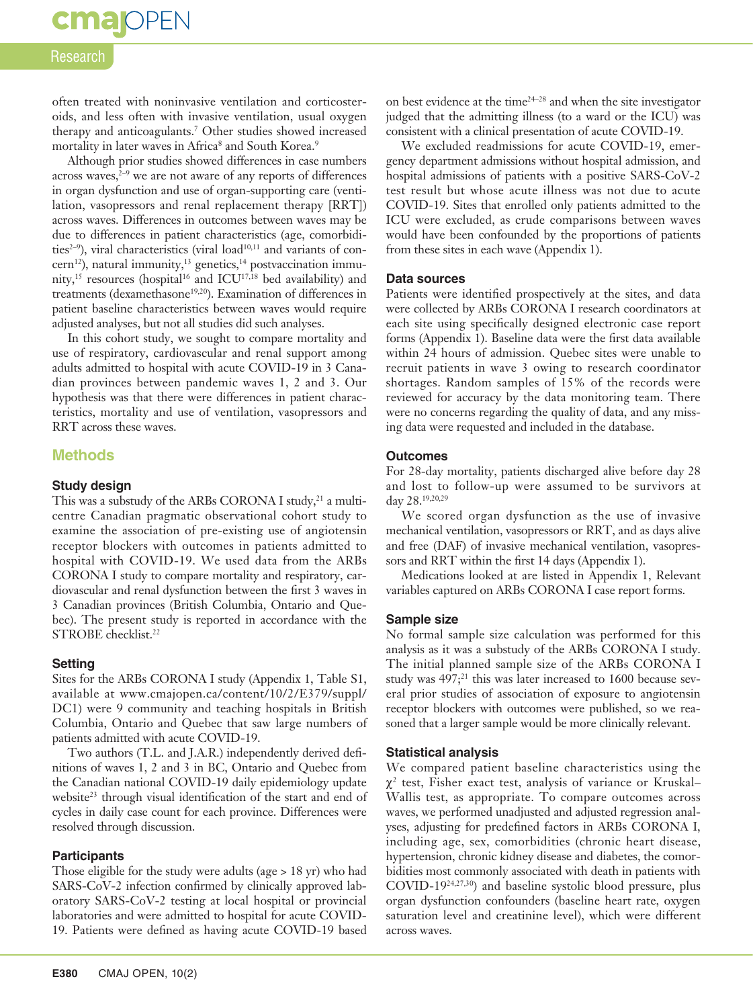# **cma** OPEN

### Research

often treated with noninvasive ventilation and corticosteroids, and less often with invasive ventilation, usual oxygen therapy and anticoagulants.7 Other studies showed increased mortality in later waves in Africa<sup>8</sup> and South Korea.<sup>9</sup>

Although prior studies showed differences in case numbers across waves, $2-9$  we are not aware of any reports of differences in organ dysfunction and use of organ-supporting care (ventilation, vasopressors and renal replacement therapy [RRT]) across waves. Differences in outcomes between waves may be due to differences in patient characteristics (age, comorbidities<sup>2-9</sup>), viral characteristics (viral load<sup>10,11</sup> and variants of concern<sup>12</sup>), natural immunity,<sup>13</sup> genetics,<sup>14</sup> postvaccination immunity,<sup>15</sup> resources (hospital<sup>16</sup> and ICU<sup>17,18</sup> bed availability) and treatments (dexamethasone<sup>19,20</sup>). Examination of differences in patient baseline characteristics between waves would require adjusted analyses, but not all studies did such analyses.

In this cohort study, we sought to compare mortality and use of respiratory, cardiovascular and renal support among adults admitted to hospital with acute COVID-19 in 3 Canadian provinces between pandemic waves 1, 2 and 3. Our hypothesis was that there were differences in patient characteristics, mortality and use of ventilation, vasopressors and RRT across these waves.

#### **Methods**

#### **Study design**

This was a substudy of the ARBs CORONA I study, $^{21}$  a multicentre Canadian pragmatic observational cohort study to examine the association of pre-existing use of angiotensin receptor blockers with outcomes in patients admitted to hospital with COVID-19. We used data from the ARBs CORONA I study to compare mortality and respiratory, cardiovascular and renal dysfunction between the first 3 waves in 3 Canadian provinces (British Columbia, Ontario and Quebec). The present study is reported in accordance with the STROBE checklist.<sup>22</sup>

#### **Setting**

Sites for the ARBs CORONA I study (Appendix 1, Table S1, available at www.cmajopen.ca/content/10/2/E379/suppl/ DC1) were 9 community and teaching hospitals in British Columbia, Ontario and Quebec that saw large numbers of patients admitted with acute COVID-19.

Two authors (T.L. and J.A.R.) independently derived definitions of waves 1, 2 and 3 in BC, Ontario and Quebec from the Canadian national COVID-19 daily epidemiology update website<sup>23</sup> through visual identification of the start and end of cycles in daily case count for each province. Differences were resolved through discussion.

#### **Participants**

Those eligible for the study were adults (age > 18 yr) who had SARS-CoV-2 infection confirmed by clinically approved laboratory SARS-CoV-2 testing at local hospital or provincial laboratories and were admitted to hospital for acute COVID-19. Patients were defined as having acute COVID-19 based

on best evidence at the time $24-28$  and when the site investigator judged that the admitting illness (to a ward or the ICU) was consistent with a clinical presentation of acute COVID-19.

We excluded readmissions for acute COVID-19, emergency department admissions without hospital admission, and hospital admissions of patients with a positive SARS-CoV-2 test result but whose acute illness was not due to acute COVID-19. Sites that enrolled only patients admitted to the ICU were excluded, as crude comparisons between waves would have been confounded by the proportions of patients from these sites in each wave (Appendix 1).

#### **Data sources**

Patients were identified prospectively at the sites, and data were collected by ARBs CORONA I research coordinators at each site using specifically designed electronic case report forms (Appendix 1). Baseline data were the first data available within 24 hours of admission. Quebec sites were unable to recruit patients in wave 3 owing to research coordinator shortages. Random samples of 15% of the records were reviewed for accuracy by the data monitoring team. There were no concerns regarding the quality of data, and any missing data were requested and included in the database.

#### **Outcomes**

For 28-day mortality, patients discharged alive before day 28 and lost to follow-up were assumed to be survivors at day 28.19,20,29

We scored organ dysfunction as the use of invasive mechanical ventilation, vasopressors or RRT, and as days alive and free (DAF) of invasive mechanical ventilation, vasopressors and RRT within the first 14 days (Appendix 1).

Medications looked at are listed in Appendix 1, Relevant variables captured on ARBs CORONA I case report forms.

#### **Sample size**

No formal sample size calculation was performed for this analysis as it was a substudy of the ARBs CORONA I study. The initial planned sample size of the ARBs CORONA I study was  $497;^{21}$  this was later increased to 1600 because several prior studies of association of exposure to angiotensin receptor blockers with outcomes were published, so we reasoned that a larger sample would be more clinically relevant.

#### **Statistical analysis**

We compared patient baseline characteristics using the  $\chi^2$  test, Fisher exact test, analysis of variance or Kruskal– Wallis test, as appropriate. To compare outcomes across waves, we performed unadjusted and adjusted regression analyses, adjusting for predefined factors in ARBs CORONA I, including age, sex, comorbidities (chronic heart disease, hypertension, chronic kidney disease and diabetes, the comorbidities most commonly associated with death in patients with COVID-1924,27,30) and baseline systolic blood pressure, plus organ dysfunction confounders (baseline heart rate, oxygen saturation level and creatinine level), which were different across waves.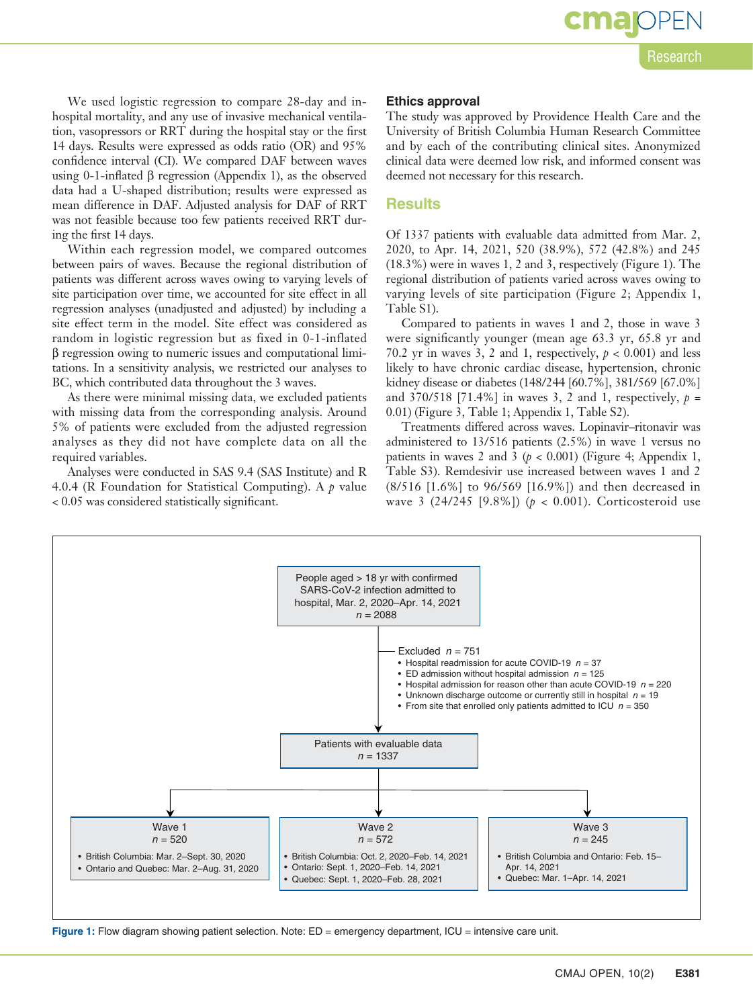We used logistic regression to compare 28-day and inhospital mortality, and any use of invasive mechanical ventilation, vasopressors or RRT during the hospital stay or the first 14 days. Results were expressed as odds ratio (OR) and 95% confidence interval (CI). We compared DAF between waves using 0-1-inflated β regression (Appendix 1), as the observed data had a U-shaped distribution; results were expressed as mean difference in DAF. Adjusted analysis for DAF of RRT was not feasible because too few patients received RRT during the first 14 days.

Within each regression model, we compared outcomes between pairs of waves. Because the regional distribution of patients was different across waves owing to varying levels of site participation over time, we accounted for site effect in all regression analyses (unadjusted and adjusted) by including a site effect term in the model. Site effect was considered as random in logistic regression but as fixed in 0-1-inflated β regression owing to numeric issues and computational limitations. In a sensitivity analysis, we restricted our analyses to BC, which contributed data throughout the 3 waves.

As there were minimal missing data, we excluded patients with missing data from the corresponding analysis. Around 5% of patients were excluded from the adjusted regression analyses as they did not have complete data on all the required variables.

Analyses were conducted in SAS 9.4 (SAS Institute) and R 4.0.4 (R Foundation for Statistical Computing). A *p* value < 0.05 was considered statistically significant.

#### **Ethics approval**

The study was approved by Providence Health Care and the University of British Columbia Human Research Committee and by each of the contributing clinical sites. Anonymized clinical data were deemed low risk, and informed consent was deemed not necessary for this research.

#### **Results**

Of 1337 patients with evaluable data admitted from Mar. 2, 2020, to Apr. 14, 2021, 520 (38.9%), 572 (42.8%) and 245 (18.3%) were in waves 1, 2 and 3, respectively (Figure 1). The regional distribution of patients varied across waves owing to varying levels of site participation (Figure 2; Appendix 1, Table S1).

Compared to patients in waves 1 and 2, those in wave 3 were significantly younger (mean age 63.3 yr, 65.8 yr and 70.2 yr in waves 3, 2 and 1, respectively,  $p < 0.001$ ) and less likely to have chronic cardiac disease, hypertension, chronic kidney disease or diabetes (148/244 [60.7%], 381/569 [67.0%] and 370/518 [71.4%] in waves 3, 2 and 1, respectively, *p* = 0.01) (Figure 3, Table 1; Appendix 1, Table S2).

Treatments differed across waves. Lopinavir–ritonavir was administered to 13/516 patients (2.5%) in wave 1 versus no patients in waves 2 and 3  $(p < 0.001)$  (Figure 4; Appendix 1, Table S3). Remdesivir use increased between waves 1 and 2 (8/516 [1.6%] to 96/569 [16.9%]) and then decreased in wave 3  $(24/245 [9.8\%])$  ( $p < 0.001$ ). Corticosteroid use



Figure 1: Flow diagram showing patient selection. Note: ED = emergency department, ICU = intensive care unit.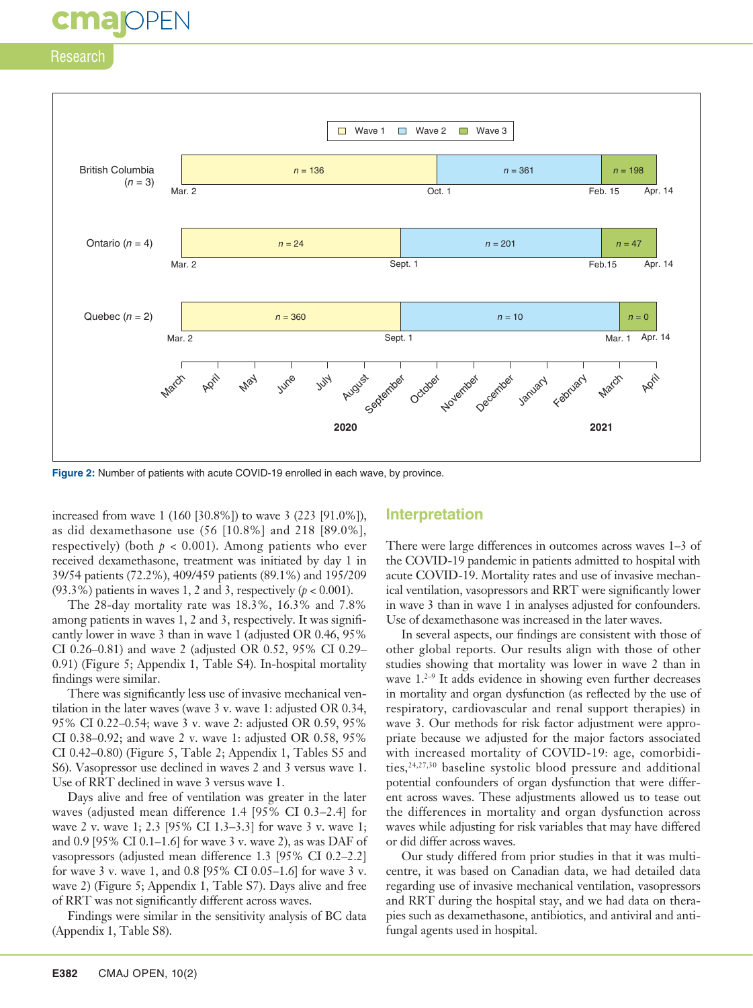# **cmaj**OPEN

### Research



**Figure 2:** Number of patients with acute COVID-19 enrolled in each wave, by province.

increased from wave 1 (160 [30.8%]) to wave 3 (223 [91.0%]), as did dexamethasone use (56 [10.8%] and 218 [89.0%], respectively) (both  $p < 0.001$ ). Among patients who ever received dexamethasone, treatment was initiated by day 1 in 39/54 patients (72.2%), 409/459 patients (89.1%) and 195/209 (93.3%) patients in waves 1, 2 and 3, respectively  $(p < 0.001)$ .

The 28-day mortality rate was 18.3%, 16.3% and 7.8% among patients in waves 1, 2 and 3, respectively. It was significantly lower in wave 3 than in wave 1 (adjusted OR 0.46, 95% CI 0.26–0.81) and wave 2 (adjusted OR 0.52, 95% CI 0.29– 0.91) (Figure 5; Appendix 1, Table S4). In-hospital mortality findings were similar.

There was significantly less use of invasive mechanical ventilation in the later waves (wave 3 v. wave 1: adjusted OR 0.34, 95% CI 0.22–0.54; wave 3 v. wave 2: adjusted OR 0.59, 95% CI 0.38–0.92; and wave 2 v. wave 1: adjusted OR 0.58, 95% CI 0.42–0.80) (Figure 5, Table 2; Appendix 1, Tables S5 and S6). Vasopressor use declined in waves 2 and 3 versus wave 1. Use of RRT declined in wave 3 versus wave 1.

Days alive and free of ventilation was greater in the later waves (adjusted mean difference 1.4 [95% CI 0.3–2.4] for wave 2 v. wave 1; 2.3 [95% CI 1.3–3.3] for wave 3 v. wave 1; and 0.9 [95% CI 0.1–1.6] for wave 3 v. wave 2), as was DAF of vasopressors (adjusted mean difference 1.3 [95% CI 0.2–2.2] for wave 3 v. wave 1, and 0.8 [95% CI 0.05–1.6] for wave 3 v. wave 2) (Figure 5; Appendix 1, Table S7). Days alive and free of RRT was not significantly different across waves.

Findings were similar in the sensitivity analysis of BC data (Appendix 1, Table S8).

### **Interpretation**

There were large differences in outcomes across waves 1–3 of the COVID-19 pandemic in patients admitted to hospital with acute COVID-19. Mortality rates and use of invasive mechanical ventilation, vasopressors and RRT were significantly lower in wave 3 than in wave 1 in analyses adjusted for confounders. Use of dexamethasone was increased in the later waves.

In several aspects, our findings are consistent with those of other global reports. Our results align with those of other studies showing that mortality was lower in wave 2 than in wave  $1.^{2-9}$  It adds evidence in showing even further decreases in mortality and organ dysfunction (as reflected by the use of respiratory, cardiovascular and renal support therapies) in wave 3. Our methods for risk factor adjustment were appropriate because we adjusted for the major factors associated with increased mortality of COVID-19: age, comorbidities,<sup>24,27,30</sup> baseline systolic blood pressure and additional potential confounders of organ dysfunction that were different across waves. These adjustments allowed us to tease out the differences in mortality and organ dysfunction across waves while adjusting for risk variables that may have differed or did differ across waves.

Our study differed from prior studies in that it was multicentre, it was based on Canadian data, we had detailed data regarding use of invasive mechanical ventilation, vasopressors and RRT during the hospital stay, and we had data on therapies such as dexamethasone, antibiotics, and antiviral and antifungal agents used in hospital.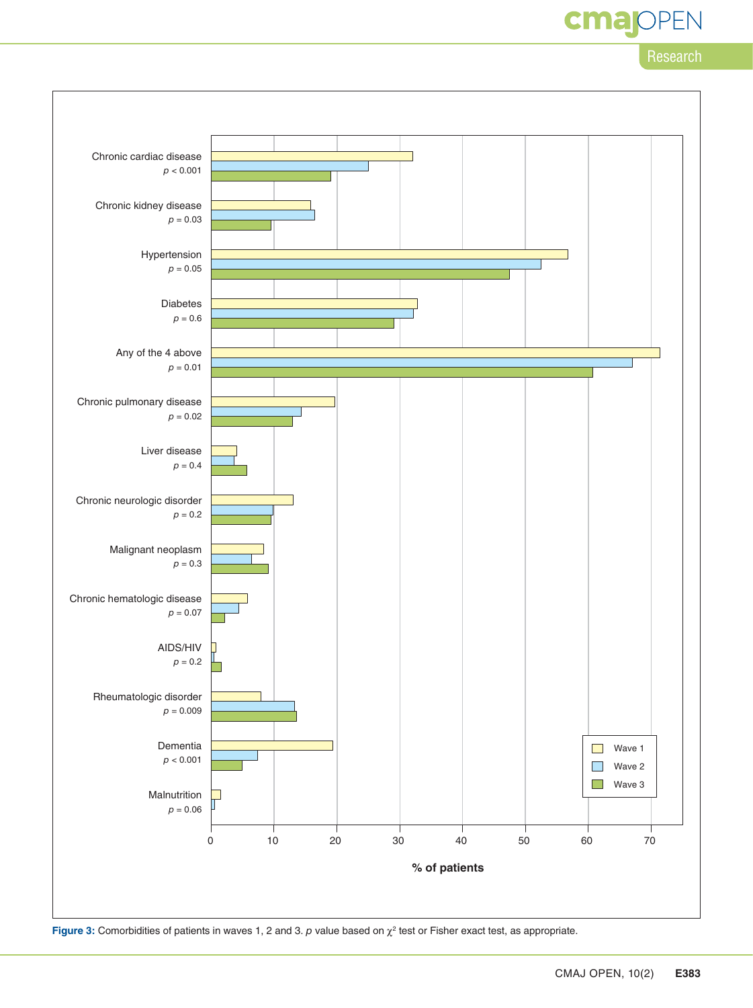cmar EN

Research

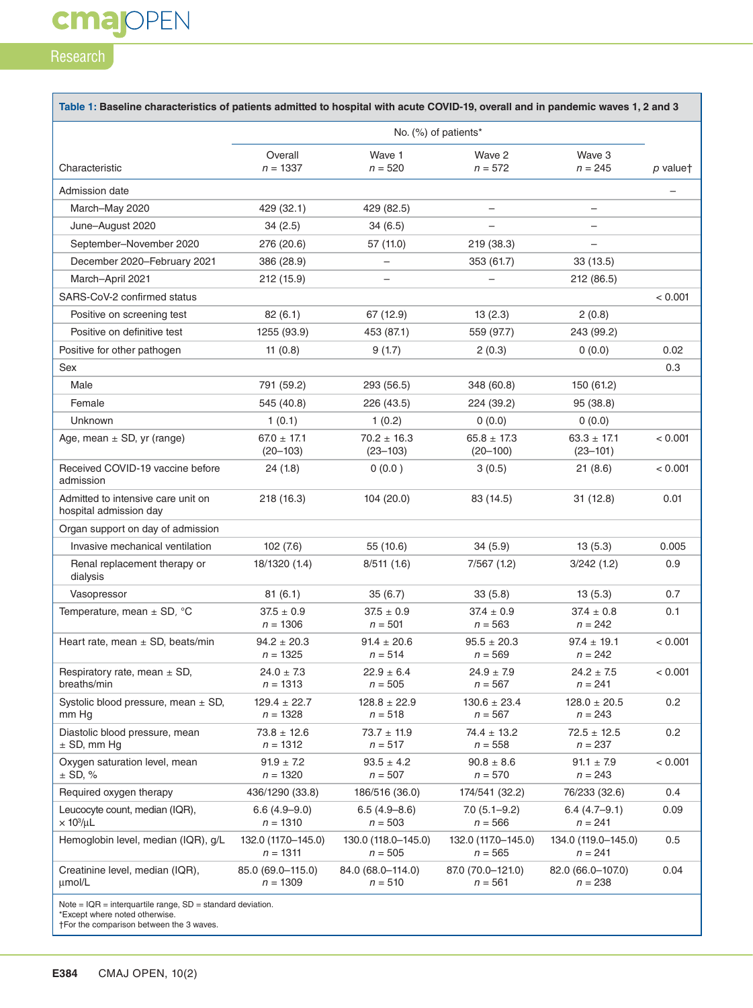**cmajOPEN** 

| No. (%) of patients*<br>Overall<br>Wave 1<br>Wave 2<br>Wave 3<br>Characteristic<br>$n = 1337$<br>$n = 520$<br>$n = 572$<br>$n = 245$<br>Admission date<br>March-May 2020<br>429 (32.1)<br>429 (82.5)<br>$\overline{\phantom{0}}$<br>June-August 2020<br>34(2.5)<br>34 (6.5)<br>$\overline{\phantom{0}}$<br>September-November 2020<br>219 (38.3)<br>276 (20.6)<br>57 (11.0)<br>$\equiv$<br>December 2020–February 2021<br>386 (28.9)<br>353 (61.7)<br>33(13.5)<br>$\overline{\phantom{0}}$<br>March-April 2021<br>212 (15.9)<br>212 (86.5)<br>-<br>-<br>SARS-CoV-2 confirmed status<br>67 (12.9)<br>13(2.3)<br>Positive on screening test<br>82(6.1)<br>2(0.8)<br>Positive on definitive test<br>1255 (93.9)<br>453 (87.1)<br>559 (97.7)<br>243 (99.2)<br>Positive for other pathogen<br>11 $(0.8)$<br>9(1.7)<br>2(0.3)<br>0(0.0)<br>Sex<br>Male<br>791 (59.2)<br>293 (56.5)<br>348 (60.8)<br>150 (61.2)<br>Female<br>545 (40.8)<br>226 (43.5)<br>224 (39.2)<br>95 (38.8)<br><b>Unknown</b><br>1(0.1)<br>1(0.2)<br>0(0.0)<br>0(0.0)<br>$67.0 \pm 17.1$<br>$70.2 \pm 16.3$<br>$65.8 \pm 17.3$<br>$63.3 \pm 17.1$<br>Age, mean $\pm$ SD, yr (range)<br>$(20 - 103)$<br>$(23 - 103)$<br>$(20 - 100)$<br>$(23 - 101)$<br>Received COVID-19 vaccine before<br>24(1.8)<br>0(0.0)<br>3(0.5)<br>21(8.6)<br>admission<br>Admitted to intensive care unit on<br>218 (16.3)<br>104 (20.0)<br>83 (14.5)<br>31(12.8)<br>hospital admission day<br>Organ support on day of admission<br>Invasive mechanical ventilation<br>102(7.6)<br>55 (10.6)<br>13(5.3)<br>34(5.9)<br>Renal replacement therapy or<br>18/1320 (1.4)<br>8/511(1.6)<br>7/567(1.2)<br>3/242(1.2)<br>dialysis<br>Vasopressor<br>81(6.1)<br>35(6.7)<br>33(5.8)<br>13(5.3)<br>Temperature, mean $\pm$ SD, $^{\circ}$ C<br>$37.5 \pm 0.9$<br>$37.5 \pm 0.9$<br>$37.4 \pm 0.9$<br>$37.4 \pm 0.8$<br>$n = 1306$<br>$n = 501$<br>$n = 563$<br>$n = 242$<br>Heart rate, mean $\pm$ SD, beats/min<br>$94.2 \pm 20.3$<br>$91.4 \pm 20.6$<br>$95.5 \pm 20.3$<br>$97.4 \pm 19.1$<br>$n = 1325$<br>$n = 514$<br>$n = 569$<br>$n = 242$<br>Respiratory rate, mean $\pm$ SD,<br>$24.0 \pm 7.3$<br>$22.9 \pm 6.4$<br>$24.9 \pm 7.9$<br>$24.2 \pm 7.5$<br>breaths/min<br>$n = 1313$<br>$n = 505$<br>$n = 567$<br>$n = 241$<br>Systolic blood pressure, mean $\pm$ SD,<br>$129.4 \pm 22.7$<br>$128.8 \pm 22.9$<br>$130.6 \pm 23.4$<br>$128.0 \pm 20.5$<br>mm Hg<br>$n = 1328$<br>$n = 518$<br>$n = 567$<br>$n = 243$<br>Diastolic blood pressure, mean<br>$73.8 \pm 12.6$<br>$73.7 \pm 11.9$<br>$74.4 \pm 13.2$<br>$72.5 \pm 12.5$<br>$\pm$ SD, mm Hg<br>$n = 558$<br>$n = 1312$<br>$n = 517$<br>$n = 237$<br>Oxygen saturation level, mean<br>$91.9 \pm 7.2$<br>$90.8 \pm 8.6$<br>$93.5 \pm 4.2$<br>$91.1 \pm 7.9$<br>$±$ SD, %<br>$n = 1320$<br>$n = 507$<br>$n = 570$<br>$n = 243$<br>Required oxygen therapy<br>436/1290 (33.8)<br>186/516 (36.0)<br>174/541 (32.2)<br>76/233 (32.6)<br>Leucocyte count, median (IQR),<br>$6.6(4.9-9.0)$<br>$6.5(4.9 - 8.6)$<br>$7.0(5.1 - 9.2)$<br>$6.4(4.7-9.1)$<br>$\times$ 10 <sup>3</sup> /µL<br>$n = 1310$<br>$n = 503$<br>$n = 566$<br>$n = 241$<br>Hemoglobin level, median (IQR), g/L<br>132.0 (117.0-145.0)<br>130.0 (118.0–145.0)<br>132.0 (117.0-145.0)<br>134.0 (119.0–145.0)<br>$n = 1311$<br>$n = 505$<br>$n = 565$<br>$n=241\,$ | Table 1: Baseline characteristics of patients admitted to hospital with acute COVID-19, overall and in pandemic waves 1, 2 and 3 |  |  |  |  |          |  |  |  |
|----------------------------------------------------------------------------------------------------------------------------------------------------------------------------------------------------------------------------------------------------------------------------------------------------------------------------------------------------------------------------------------------------------------------------------------------------------------------------------------------------------------------------------------------------------------------------------------------------------------------------------------------------------------------------------------------------------------------------------------------------------------------------------------------------------------------------------------------------------------------------------------------------------------------------------------------------------------------------------------------------------------------------------------------------------------------------------------------------------------------------------------------------------------------------------------------------------------------------------------------------------------------------------------------------------------------------------------------------------------------------------------------------------------------------------------------------------------------------------------------------------------------------------------------------------------------------------------------------------------------------------------------------------------------------------------------------------------------------------------------------------------------------------------------------------------------------------------------------------------------------------------------------------------------------------------------------------------------------------------------------------------------------------------------------------------------------------------------------------------------------------------------------------------------------------------------------------------------------------------------------------------------------------------------------------------------------------------------------------------------------------------------------------------------------------------------------------------------------------------------------------------------------------------------------------------------------------------------------------------------------------------------------------------------------------------------------------------------------------------------------------------------------------------------------------------------------------------------------------------------------------------------------------------------------------------------------------------------------------------------------------------------------------------------------------------------------------------------------------------------------------------------------------------------------------------------------------------------------------------------------------------------------------------------------------------------|----------------------------------------------------------------------------------------------------------------------------------|--|--|--|--|----------|--|--|--|
|                                                                                                                                                                                                                                                                                                                                                                                                                                                                                                                                                                                                                                                                                                                                                                                                                                                                                                                                                                                                                                                                                                                                                                                                                                                                                                                                                                                                                                                                                                                                                                                                                                                                                                                                                                                                                                                                                                                                                                                                                                                                                                                                                                                                                                                                                                                                                                                                                                                                                                                                                                                                                                                                                                                                                                                                                                                                                                                                                                                                                                                                                                                                                                                                                                                                                                                      |                                                                                                                                  |  |  |  |  |          |  |  |  |
|                                                                                                                                                                                                                                                                                                                                                                                                                                                                                                                                                                                                                                                                                                                                                                                                                                                                                                                                                                                                                                                                                                                                                                                                                                                                                                                                                                                                                                                                                                                                                                                                                                                                                                                                                                                                                                                                                                                                                                                                                                                                                                                                                                                                                                                                                                                                                                                                                                                                                                                                                                                                                                                                                                                                                                                                                                                                                                                                                                                                                                                                                                                                                                                                                                                                                                                      |                                                                                                                                  |  |  |  |  | p valuet |  |  |  |
|                                                                                                                                                                                                                                                                                                                                                                                                                                                                                                                                                                                                                                                                                                                                                                                                                                                                                                                                                                                                                                                                                                                                                                                                                                                                                                                                                                                                                                                                                                                                                                                                                                                                                                                                                                                                                                                                                                                                                                                                                                                                                                                                                                                                                                                                                                                                                                                                                                                                                                                                                                                                                                                                                                                                                                                                                                                                                                                                                                                                                                                                                                                                                                                                                                                                                                                      |                                                                                                                                  |  |  |  |  |          |  |  |  |
|                                                                                                                                                                                                                                                                                                                                                                                                                                                                                                                                                                                                                                                                                                                                                                                                                                                                                                                                                                                                                                                                                                                                                                                                                                                                                                                                                                                                                                                                                                                                                                                                                                                                                                                                                                                                                                                                                                                                                                                                                                                                                                                                                                                                                                                                                                                                                                                                                                                                                                                                                                                                                                                                                                                                                                                                                                                                                                                                                                                                                                                                                                                                                                                                                                                                                                                      |                                                                                                                                  |  |  |  |  |          |  |  |  |
|                                                                                                                                                                                                                                                                                                                                                                                                                                                                                                                                                                                                                                                                                                                                                                                                                                                                                                                                                                                                                                                                                                                                                                                                                                                                                                                                                                                                                                                                                                                                                                                                                                                                                                                                                                                                                                                                                                                                                                                                                                                                                                                                                                                                                                                                                                                                                                                                                                                                                                                                                                                                                                                                                                                                                                                                                                                                                                                                                                                                                                                                                                                                                                                                                                                                                                                      |                                                                                                                                  |  |  |  |  |          |  |  |  |
|                                                                                                                                                                                                                                                                                                                                                                                                                                                                                                                                                                                                                                                                                                                                                                                                                                                                                                                                                                                                                                                                                                                                                                                                                                                                                                                                                                                                                                                                                                                                                                                                                                                                                                                                                                                                                                                                                                                                                                                                                                                                                                                                                                                                                                                                                                                                                                                                                                                                                                                                                                                                                                                                                                                                                                                                                                                                                                                                                                                                                                                                                                                                                                                                                                                                                                                      |                                                                                                                                  |  |  |  |  |          |  |  |  |
|                                                                                                                                                                                                                                                                                                                                                                                                                                                                                                                                                                                                                                                                                                                                                                                                                                                                                                                                                                                                                                                                                                                                                                                                                                                                                                                                                                                                                                                                                                                                                                                                                                                                                                                                                                                                                                                                                                                                                                                                                                                                                                                                                                                                                                                                                                                                                                                                                                                                                                                                                                                                                                                                                                                                                                                                                                                                                                                                                                                                                                                                                                                                                                                                                                                                                                                      |                                                                                                                                  |  |  |  |  |          |  |  |  |
|                                                                                                                                                                                                                                                                                                                                                                                                                                                                                                                                                                                                                                                                                                                                                                                                                                                                                                                                                                                                                                                                                                                                                                                                                                                                                                                                                                                                                                                                                                                                                                                                                                                                                                                                                                                                                                                                                                                                                                                                                                                                                                                                                                                                                                                                                                                                                                                                                                                                                                                                                                                                                                                                                                                                                                                                                                                                                                                                                                                                                                                                                                                                                                                                                                                                                                                      |                                                                                                                                  |  |  |  |  |          |  |  |  |
|                                                                                                                                                                                                                                                                                                                                                                                                                                                                                                                                                                                                                                                                                                                                                                                                                                                                                                                                                                                                                                                                                                                                                                                                                                                                                                                                                                                                                                                                                                                                                                                                                                                                                                                                                                                                                                                                                                                                                                                                                                                                                                                                                                                                                                                                                                                                                                                                                                                                                                                                                                                                                                                                                                                                                                                                                                                                                                                                                                                                                                                                                                                                                                                                                                                                                                                      |                                                                                                                                  |  |  |  |  | < 0.001  |  |  |  |
|                                                                                                                                                                                                                                                                                                                                                                                                                                                                                                                                                                                                                                                                                                                                                                                                                                                                                                                                                                                                                                                                                                                                                                                                                                                                                                                                                                                                                                                                                                                                                                                                                                                                                                                                                                                                                                                                                                                                                                                                                                                                                                                                                                                                                                                                                                                                                                                                                                                                                                                                                                                                                                                                                                                                                                                                                                                                                                                                                                                                                                                                                                                                                                                                                                                                                                                      |                                                                                                                                  |  |  |  |  |          |  |  |  |
|                                                                                                                                                                                                                                                                                                                                                                                                                                                                                                                                                                                                                                                                                                                                                                                                                                                                                                                                                                                                                                                                                                                                                                                                                                                                                                                                                                                                                                                                                                                                                                                                                                                                                                                                                                                                                                                                                                                                                                                                                                                                                                                                                                                                                                                                                                                                                                                                                                                                                                                                                                                                                                                                                                                                                                                                                                                                                                                                                                                                                                                                                                                                                                                                                                                                                                                      |                                                                                                                                  |  |  |  |  |          |  |  |  |
|                                                                                                                                                                                                                                                                                                                                                                                                                                                                                                                                                                                                                                                                                                                                                                                                                                                                                                                                                                                                                                                                                                                                                                                                                                                                                                                                                                                                                                                                                                                                                                                                                                                                                                                                                                                                                                                                                                                                                                                                                                                                                                                                                                                                                                                                                                                                                                                                                                                                                                                                                                                                                                                                                                                                                                                                                                                                                                                                                                                                                                                                                                                                                                                                                                                                                                                      |                                                                                                                                  |  |  |  |  | 0.02     |  |  |  |
|                                                                                                                                                                                                                                                                                                                                                                                                                                                                                                                                                                                                                                                                                                                                                                                                                                                                                                                                                                                                                                                                                                                                                                                                                                                                                                                                                                                                                                                                                                                                                                                                                                                                                                                                                                                                                                                                                                                                                                                                                                                                                                                                                                                                                                                                                                                                                                                                                                                                                                                                                                                                                                                                                                                                                                                                                                                                                                                                                                                                                                                                                                                                                                                                                                                                                                                      |                                                                                                                                  |  |  |  |  | 0.3      |  |  |  |
|                                                                                                                                                                                                                                                                                                                                                                                                                                                                                                                                                                                                                                                                                                                                                                                                                                                                                                                                                                                                                                                                                                                                                                                                                                                                                                                                                                                                                                                                                                                                                                                                                                                                                                                                                                                                                                                                                                                                                                                                                                                                                                                                                                                                                                                                                                                                                                                                                                                                                                                                                                                                                                                                                                                                                                                                                                                                                                                                                                                                                                                                                                                                                                                                                                                                                                                      |                                                                                                                                  |  |  |  |  |          |  |  |  |
|                                                                                                                                                                                                                                                                                                                                                                                                                                                                                                                                                                                                                                                                                                                                                                                                                                                                                                                                                                                                                                                                                                                                                                                                                                                                                                                                                                                                                                                                                                                                                                                                                                                                                                                                                                                                                                                                                                                                                                                                                                                                                                                                                                                                                                                                                                                                                                                                                                                                                                                                                                                                                                                                                                                                                                                                                                                                                                                                                                                                                                                                                                                                                                                                                                                                                                                      |                                                                                                                                  |  |  |  |  |          |  |  |  |
|                                                                                                                                                                                                                                                                                                                                                                                                                                                                                                                                                                                                                                                                                                                                                                                                                                                                                                                                                                                                                                                                                                                                                                                                                                                                                                                                                                                                                                                                                                                                                                                                                                                                                                                                                                                                                                                                                                                                                                                                                                                                                                                                                                                                                                                                                                                                                                                                                                                                                                                                                                                                                                                                                                                                                                                                                                                                                                                                                                                                                                                                                                                                                                                                                                                                                                                      |                                                                                                                                  |  |  |  |  |          |  |  |  |
|                                                                                                                                                                                                                                                                                                                                                                                                                                                                                                                                                                                                                                                                                                                                                                                                                                                                                                                                                                                                                                                                                                                                                                                                                                                                                                                                                                                                                                                                                                                                                                                                                                                                                                                                                                                                                                                                                                                                                                                                                                                                                                                                                                                                                                                                                                                                                                                                                                                                                                                                                                                                                                                                                                                                                                                                                                                                                                                                                                                                                                                                                                                                                                                                                                                                                                                      |                                                                                                                                  |  |  |  |  | < 0.001  |  |  |  |
|                                                                                                                                                                                                                                                                                                                                                                                                                                                                                                                                                                                                                                                                                                                                                                                                                                                                                                                                                                                                                                                                                                                                                                                                                                                                                                                                                                                                                                                                                                                                                                                                                                                                                                                                                                                                                                                                                                                                                                                                                                                                                                                                                                                                                                                                                                                                                                                                                                                                                                                                                                                                                                                                                                                                                                                                                                                                                                                                                                                                                                                                                                                                                                                                                                                                                                                      |                                                                                                                                  |  |  |  |  | < 0.001  |  |  |  |
|                                                                                                                                                                                                                                                                                                                                                                                                                                                                                                                                                                                                                                                                                                                                                                                                                                                                                                                                                                                                                                                                                                                                                                                                                                                                                                                                                                                                                                                                                                                                                                                                                                                                                                                                                                                                                                                                                                                                                                                                                                                                                                                                                                                                                                                                                                                                                                                                                                                                                                                                                                                                                                                                                                                                                                                                                                                                                                                                                                                                                                                                                                                                                                                                                                                                                                                      |                                                                                                                                  |  |  |  |  | 0.01     |  |  |  |
|                                                                                                                                                                                                                                                                                                                                                                                                                                                                                                                                                                                                                                                                                                                                                                                                                                                                                                                                                                                                                                                                                                                                                                                                                                                                                                                                                                                                                                                                                                                                                                                                                                                                                                                                                                                                                                                                                                                                                                                                                                                                                                                                                                                                                                                                                                                                                                                                                                                                                                                                                                                                                                                                                                                                                                                                                                                                                                                                                                                                                                                                                                                                                                                                                                                                                                                      |                                                                                                                                  |  |  |  |  |          |  |  |  |
|                                                                                                                                                                                                                                                                                                                                                                                                                                                                                                                                                                                                                                                                                                                                                                                                                                                                                                                                                                                                                                                                                                                                                                                                                                                                                                                                                                                                                                                                                                                                                                                                                                                                                                                                                                                                                                                                                                                                                                                                                                                                                                                                                                                                                                                                                                                                                                                                                                                                                                                                                                                                                                                                                                                                                                                                                                                                                                                                                                                                                                                                                                                                                                                                                                                                                                                      |                                                                                                                                  |  |  |  |  | 0.005    |  |  |  |
|                                                                                                                                                                                                                                                                                                                                                                                                                                                                                                                                                                                                                                                                                                                                                                                                                                                                                                                                                                                                                                                                                                                                                                                                                                                                                                                                                                                                                                                                                                                                                                                                                                                                                                                                                                                                                                                                                                                                                                                                                                                                                                                                                                                                                                                                                                                                                                                                                                                                                                                                                                                                                                                                                                                                                                                                                                                                                                                                                                                                                                                                                                                                                                                                                                                                                                                      |                                                                                                                                  |  |  |  |  | 0.9      |  |  |  |
|                                                                                                                                                                                                                                                                                                                                                                                                                                                                                                                                                                                                                                                                                                                                                                                                                                                                                                                                                                                                                                                                                                                                                                                                                                                                                                                                                                                                                                                                                                                                                                                                                                                                                                                                                                                                                                                                                                                                                                                                                                                                                                                                                                                                                                                                                                                                                                                                                                                                                                                                                                                                                                                                                                                                                                                                                                                                                                                                                                                                                                                                                                                                                                                                                                                                                                                      |                                                                                                                                  |  |  |  |  | 0.7      |  |  |  |
|                                                                                                                                                                                                                                                                                                                                                                                                                                                                                                                                                                                                                                                                                                                                                                                                                                                                                                                                                                                                                                                                                                                                                                                                                                                                                                                                                                                                                                                                                                                                                                                                                                                                                                                                                                                                                                                                                                                                                                                                                                                                                                                                                                                                                                                                                                                                                                                                                                                                                                                                                                                                                                                                                                                                                                                                                                                                                                                                                                                                                                                                                                                                                                                                                                                                                                                      |                                                                                                                                  |  |  |  |  | 0.1      |  |  |  |
|                                                                                                                                                                                                                                                                                                                                                                                                                                                                                                                                                                                                                                                                                                                                                                                                                                                                                                                                                                                                                                                                                                                                                                                                                                                                                                                                                                                                                                                                                                                                                                                                                                                                                                                                                                                                                                                                                                                                                                                                                                                                                                                                                                                                                                                                                                                                                                                                                                                                                                                                                                                                                                                                                                                                                                                                                                                                                                                                                                                                                                                                                                                                                                                                                                                                                                                      |                                                                                                                                  |  |  |  |  | < 0.001  |  |  |  |
|                                                                                                                                                                                                                                                                                                                                                                                                                                                                                                                                                                                                                                                                                                                                                                                                                                                                                                                                                                                                                                                                                                                                                                                                                                                                                                                                                                                                                                                                                                                                                                                                                                                                                                                                                                                                                                                                                                                                                                                                                                                                                                                                                                                                                                                                                                                                                                                                                                                                                                                                                                                                                                                                                                                                                                                                                                                                                                                                                                                                                                                                                                                                                                                                                                                                                                                      |                                                                                                                                  |  |  |  |  | < 0.001  |  |  |  |
|                                                                                                                                                                                                                                                                                                                                                                                                                                                                                                                                                                                                                                                                                                                                                                                                                                                                                                                                                                                                                                                                                                                                                                                                                                                                                                                                                                                                                                                                                                                                                                                                                                                                                                                                                                                                                                                                                                                                                                                                                                                                                                                                                                                                                                                                                                                                                                                                                                                                                                                                                                                                                                                                                                                                                                                                                                                                                                                                                                                                                                                                                                                                                                                                                                                                                                                      |                                                                                                                                  |  |  |  |  | 0.2      |  |  |  |
|                                                                                                                                                                                                                                                                                                                                                                                                                                                                                                                                                                                                                                                                                                                                                                                                                                                                                                                                                                                                                                                                                                                                                                                                                                                                                                                                                                                                                                                                                                                                                                                                                                                                                                                                                                                                                                                                                                                                                                                                                                                                                                                                                                                                                                                                                                                                                                                                                                                                                                                                                                                                                                                                                                                                                                                                                                                                                                                                                                                                                                                                                                                                                                                                                                                                                                                      |                                                                                                                                  |  |  |  |  | 0.2      |  |  |  |
|                                                                                                                                                                                                                                                                                                                                                                                                                                                                                                                                                                                                                                                                                                                                                                                                                                                                                                                                                                                                                                                                                                                                                                                                                                                                                                                                                                                                                                                                                                                                                                                                                                                                                                                                                                                                                                                                                                                                                                                                                                                                                                                                                                                                                                                                                                                                                                                                                                                                                                                                                                                                                                                                                                                                                                                                                                                                                                                                                                                                                                                                                                                                                                                                                                                                                                                      |                                                                                                                                  |  |  |  |  | < 0.001  |  |  |  |
|                                                                                                                                                                                                                                                                                                                                                                                                                                                                                                                                                                                                                                                                                                                                                                                                                                                                                                                                                                                                                                                                                                                                                                                                                                                                                                                                                                                                                                                                                                                                                                                                                                                                                                                                                                                                                                                                                                                                                                                                                                                                                                                                                                                                                                                                                                                                                                                                                                                                                                                                                                                                                                                                                                                                                                                                                                                                                                                                                                                                                                                                                                                                                                                                                                                                                                                      |                                                                                                                                  |  |  |  |  | 0.4      |  |  |  |
|                                                                                                                                                                                                                                                                                                                                                                                                                                                                                                                                                                                                                                                                                                                                                                                                                                                                                                                                                                                                                                                                                                                                                                                                                                                                                                                                                                                                                                                                                                                                                                                                                                                                                                                                                                                                                                                                                                                                                                                                                                                                                                                                                                                                                                                                                                                                                                                                                                                                                                                                                                                                                                                                                                                                                                                                                                                                                                                                                                                                                                                                                                                                                                                                                                                                                                                      |                                                                                                                                  |  |  |  |  | 0.09     |  |  |  |
|                                                                                                                                                                                                                                                                                                                                                                                                                                                                                                                                                                                                                                                                                                                                                                                                                                                                                                                                                                                                                                                                                                                                                                                                                                                                                                                                                                                                                                                                                                                                                                                                                                                                                                                                                                                                                                                                                                                                                                                                                                                                                                                                                                                                                                                                                                                                                                                                                                                                                                                                                                                                                                                                                                                                                                                                                                                                                                                                                                                                                                                                                                                                                                                                                                                                                                                      |                                                                                                                                  |  |  |  |  | 0.5      |  |  |  |
| 84.0 (68.0-114.0)<br>87.0 (70.0-121.0)<br>82.0 (66.0-107.0)<br>Creatinine level, median (IQR),<br>85.0 (69.0-115.0)<br>umol/L<br>$n = 1309$<br>$n = 510$<br>$n = 561$<br>$n = 238$                                                                                                                                                                                                                                                                                                                                                                                                                                                                                                                                                                                                                                                                                                                                                                                                                                                                                                                                                                                                                                                                                                                                                                                                                                                                                                                                                                                                                                                                                                                                                                                                                                                                                                                                                                                                                                                                                                                                                                                                                                                                                                                                                                                                                                                                                                                                                                                                                                                                                                                                                                                                                                                                                                                                                                                                                                                                                                                                                                                                                                                                                                                                   |                                                                                                                                  |  |  |  |  | 0.04     |  |  |  |

Note = IQR = interquartile range, SD = standard deviation. \*Except where noted otherwise.

†For the comparison between the 3 waves.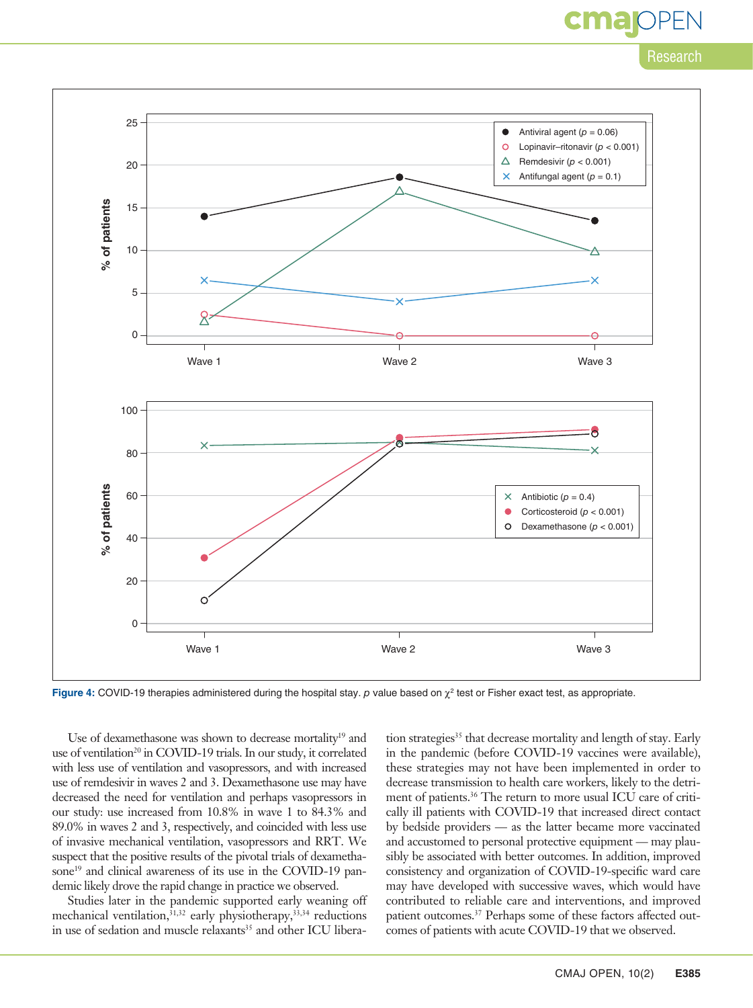# cma

Research



**Figure 4:** COVID-19 therapies administered during the hospital stay. *p* value based on  $\gamma^2$  test or Fisher exact test, as appropriate.

Use of dexamethasone was shown to decrease mortality<sup>19</sup> and use of ventilation<sup>20</sup> in COVID-19 trials. In our study, it correlated with less use of ventilation and vasopressors, and with increased use of remdesivir in waves 2 and 3. Dexamethasone use may have decreased the need for ventilation and perhaps vasopressors in our study: use increased from 10.8% in wave 1 to 84.3% and 89.0% in waves 2 and 3, respectively, and coincided with less use of invasive mechanical ventilation, vasopressors and RRT. We suspect that the positive results of the pivotal trials of dexamethasone<sup>19</sup> and clinical awareness of its use in the COVID-19 pandemic likely drove the rapid change in practice we observed.

Studies later in the pandemic supported early weaning off mechanical ventilation,  $31,32$  early physiotherapy,  $33,34$  reductions in use of sedation and muscle relaxants<sup>35</sup> and other ICU liberation strategies<sup>35</sup> that decrease mortality and length of stay. Early in the pandemic (before COVID-19 vaccines were available), these strategies may not have been implemented in order to decrease transmission to health care workers, likely to the detriment of patients.<sup>36</sup> The return to more usual ICU care of critically ill patients with COVID-19 that increased direct contact by bedside providers — as the latter became more vaccinated and accustomed to personal protective equipment — may plausibly be associated with better outcomes. In addition, improved consistency and organization of COVID-19-specific ward care may have developed with successive waves, which would have contributed to reliable care and interventions, and improved patient outcomes.<sup>37</sup> Perhaps some of these factors affected outcomes of patients with acute COVID-19 that we observed.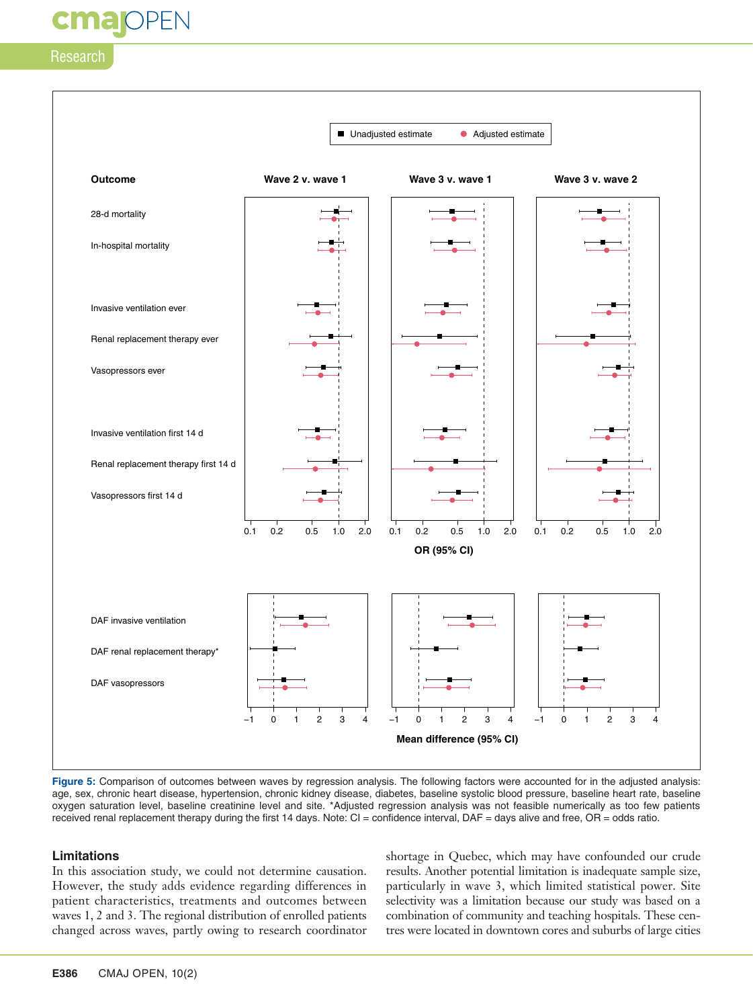**maj**OPEN



**Figure 5:** Comparison of outcomes between waves by regression analysis. The following factors were accounted for in the adjusted analysis: age, sex, chronic heart disease, hypertension, chronic kidney disease, diabetes, baseline systolic blood pressure, baseline heart rate, baseline oxygen saturation level, baseline creatinine level and site. \*Adjusted regression analysis was not feasible numerically as too few patients received renal replacement therapy during the first 14 days. Note: CI = confidence interval, DAF = days alive and free, OR = odds ratio.

#### **Limitations**

In this association study, we could not determine causation. However, the study adds evidence regarding differences in patient characteristics, treatments and outcomes between waves 1, 2 and 3. The regional distribution of enrolled patients changed across waves, partly owing to research coordinator shortage in Quebec, which may have confounded our crude results. Another potential limitation is inadequate sample size, particularly in wave 3, which limited statistical power. Site selectivity was a limitation because our study was based on a combination of community and teaching hospitals. These centres were located in downtown cores and suburbs of large cities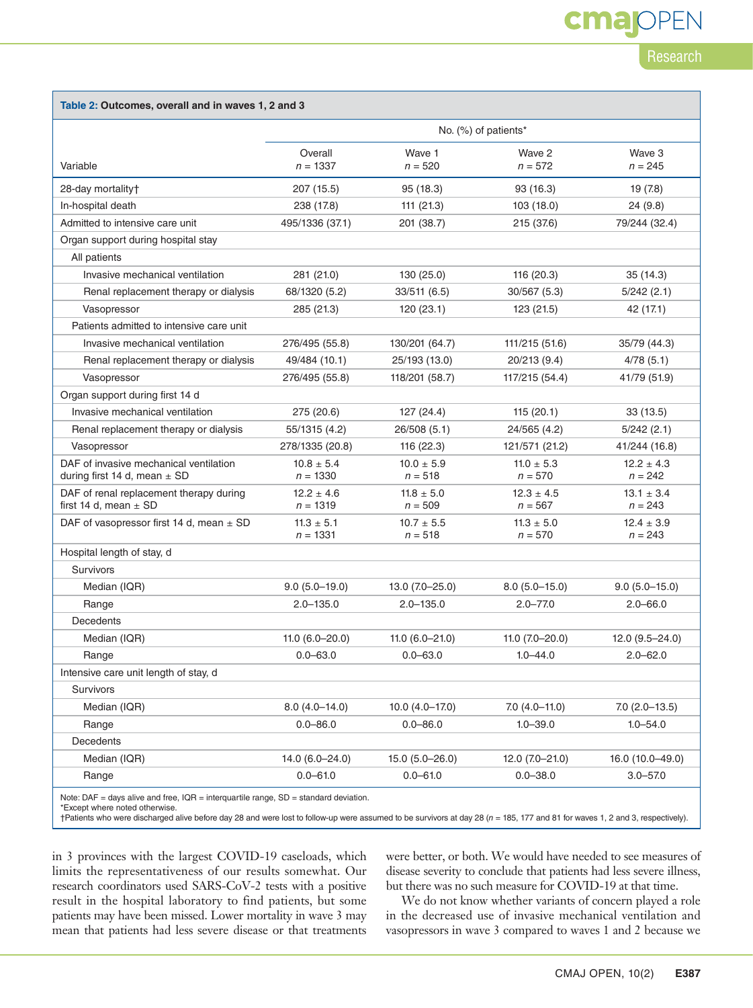cma

| Table 2: Outcomes, overall and in waves 1, 2 and 3                         |                              |                             |                             |                             |  |  |  |  |
|----------------------------------------------------------------------------|------------------------------|-----------------------------|-----------------------------|-----------------------------|--|--|--|--|
|                                                                            | No. (%) of patients*         |                             |                             |                             |  |  |  |  |
|                                                                            | Overall                      | Wave 1                      | Wave 2                      | Wave 3                      |  |  |  |  |
| Variable                                                                   | $n = 1337$                   | $n = 520$                   | $n = 572$                   | $n = 245$                   |  |  |  |  |
| 28-day mortality+                                                          | 207 (15.5)                   | 95 (18.3)                   | 93 (16.3)                   | 19(7.8)                     |  |  |  |  |
| In-hospital death                                                          | 238 (17.8)                   | 111(21.3)                   | 103 (18.0)                  | 24 (9.8)                    |  |  |  |  |
| Admitted to intensive care unit                                            | 495/1336 (37.1)              | 201 (38.7)                  | 215 (37.6)                  | 79/244 (32.4)               |  |  |  |  |
| Organ support during hospital stay                                         |                              |                             |                             |                             |  |  |  |  |
| All patients                                                               |                              |                             |                             |                             |  |  |  |  |
| Invasive mechanical ventilation                                            | 281 (21.0)                   | 130 (25.0)                  | 116 (20.3)                  | 35(14.3)                    |  |  |  |  |
| Renal replacement therapy or dialysis                                      | 68/1320 (5.2)                | 33/511 (6.5)                | 30/567 (5.3)                | 5/242(2.1)                  |  |  |  |  |
| Vasopressor                                                                | 285 (21.3)                   | 120(23.1)                   | 123 (21.5)                  | 42 (17.1)                   |  |  |  |  |
| Patients admitted to intensive care unit                                   |                              |                             |                             |                             |  |  |  |  |
| Invasive mechanical ventilation                                            | 276/495 (55.8)               | 130/201 (64.7)              | 111/215 (51.6)              | 35/79 (44.3)                |  |  |  |  |
| Renal replacement therapy or dialysis                                      | 49/484 (10.1)                | 25/193 (13.0)               | 20/213 (9.4)                | 4/78(5.1)                   |  |  |  |  |
| Vasopressor                                                                | 276/495 (55.8)               | 118/201 (58.7)              | 117/215 (54.4)              | 41/79 (51.9)                |  |  |  |  |
| Organ support during first 14 d                                            |                              |                             |                             |                             |  |  |  |  |
| Invasive mechanical ventilation                                            | 275 (20.6)                   | 127 (24.4)                  | 115(20.1)                   | 33 (13.5)                   |  |  |  |  |
| Renal replacement therapy or dialysis                                      | 55/1315 (4.2)                | 26/508 (5.1)                | 24/565 (4.2)                | 5/242 (2.1)                 |  |  |  |  |
| Vasopressor                                                                | 278/1335 (20.8)              | 116 (22.3)                  | 121/571 (21.2)              | 41/244 (16.8)               |  |  |  |  |
| DAF of invasive mechanical ventilation<br>during first 14 d, mean $\pm$ SD | $10.8 \pm 5.4$<br>$n = 1330$ | $10.0 \pm 5.9$<br>$n = 518$ | $11.0 \pm 5.3$<br>$n = 570$ | $12.2 \pm 4.3$<br>$n = 242$ |  |  |  |  |
| DAF of renal replacement therapy during<br>first 14 d, mean $\pm$ SD       | $12.2 \pm 4.6$<br>$n = 1319$ | $11.8 \pm 5.0$<br>$n = 509$ | $12.3 \pm 4.5$<br>$n = 567$ | $13.1 \pm 3.4$<br>$n = 243$ |  |  |  |  |
| DAF of vasopressor first 14 d, mean $\pm$ SD                               | $11.3 \pm 5.1$<br>$n = 1331$ | $10.7 \pm 5.5$<br>$n = 518$ | $11.3 \pm 5.0$<br>$n = 570$ | $12.4 \pm 3.9$<br>$n = 243$ |  |  |  |  |
| Hospital length of stay, d                                                 |                              |                             |                             |                             |  |  |  |  |
| <b>Survivors</b>                                                           |                              |                             |                             |                             |  |  |  |  |
| Median (IQR)                                                               | $9.0(5.0-19.0)$              | 13.0 (7.0-25.0)             | $8.0(5.0-15.0)$             | $9.0(5.0-15.0)$             |  |  |  |  |
| Range                                                                      | $2.0 - 135.0$                | $2.0 - 135.0$               | $2.0 - 77.0$                | $2.0 - 66.0$                |  |  |  |  |
| Decedents                                                                  |                              |                             |                             |                             |  |  |  |  |
| Median (IQR)                                                               | $11.0(6.0 - 20.0)$           | $11.0(6.0 - 21.0)$          | $11.0(7.0-20.0)$            | $12.0(9.5 - 24.0)$          |  |  |  |  |
| Range                                                                      | $0.0 - 63.0$                 | $0.0 - 63.0$                | $1.0 - 44.0$                | $2.0 - 62.0$                |  |  |  |  |
| Intensive care unit length of stay, d                                      |                              |                             |                             |                             |  |  |  |  |
| Survivors                                                                  |                              |                             |                             |                             |  |  |  |  |
| Median (IQR)                                                               | $8.0(4.0-14.0)$              | $10.0 (4.0 - 17.0)$         | $7.0(4.0-11.0)$             | $7.0$ (2.0-13.5)            |  |  |  |  |
| Range                                                                      | $0.0 - 86.0$                 | $0.0 - 86.0$                | $1.0 - 39.0$                | $1.0 - 54.0$                |  |  |  |  |
| Decedents                                                                  |                              |                             |                             |                             |  |  |  |  |
| Median (IQR)                                                               | 14.0 (6.0-24.0)              | $15.0(5.0-26.0)$            | $12.0(7.0 - 21.0)$          | 16.0 (10.0-49.0)            |  |  |  |  |
| Range                                                                      | $0.0 - 61.0$                 | $0.0 - 61.0$                | $0.0 - 38.0$                | $3.0 - 57.0$                |  |  |  |  |
|                                                                            |                              |                             |                             |                             |  |  |  |  |

Note: DAF = days alive and free, IQR = interquartile range, SD = standard deviation.

\*Except where noted otherwise.

†Patients who were discharged alive before day 28 and were lost to follow-up were assumed to be survivors at day 28 (*n* = 185, 177 and 81 for waves 1, 2 and 3, respectively).

in 3 provinces with the largest COVID-19 caseloads, which limits the representativeness of our results somewhat. Our research coordinators used SARS-CoV-2 tests with a positive result in the hospital laboratory to find patients, but some patients may have been missed. Lower mortality in wave 3 may mean that patients had less severe disease or that treatments were better, or both. We would have needed to see measures of disease severity to conclude that patients had less severe illness, but there was no such measure for COVID-19 at that time.

We do not know whether variants of concern played a role in the decreased use of invasive mechanical ventilation and vasopressors in wave 3 compared to waves 1 and 2 because we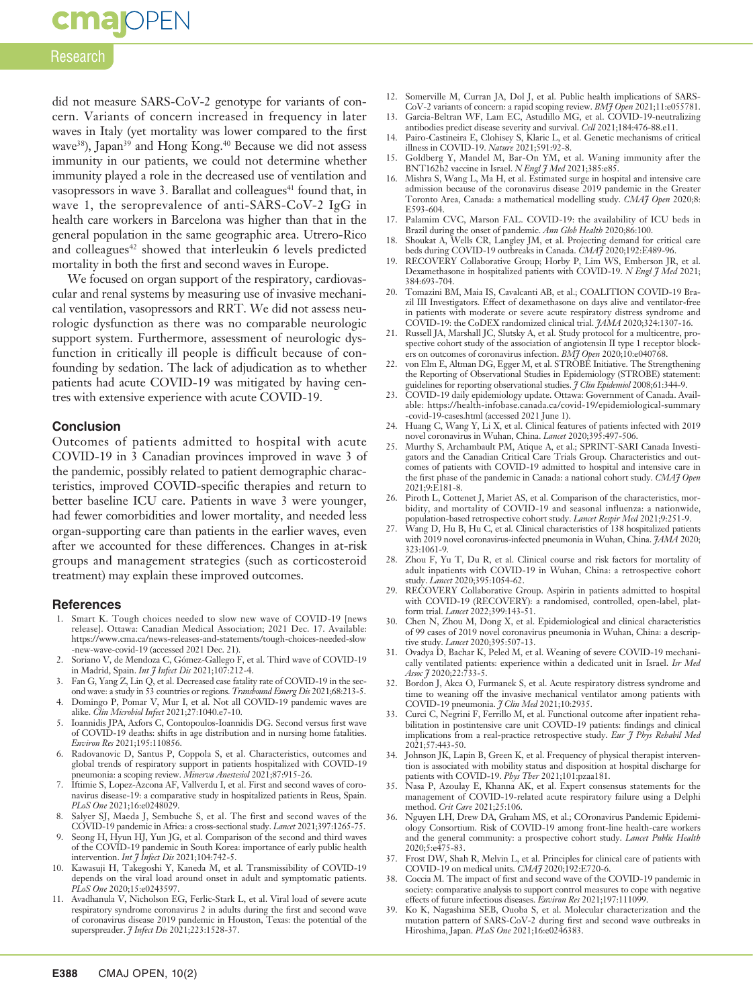# **cmajOPEN**

### Research

did not measure SARS-CoV-2 genotype for variants of concern. Variants of concern increased in frequency in later waves in Italy (yet mortality was lower compared to the first wave<sup>38</sup>), Japan<sup>39</sup> and Hong Kong.<sup>40</sup> Because we did not assess immunity in our patients, we could not determine whether immunity played a role in the decreased use of ventilation and vasopressors in wave 3. Barallat and colleagues<sup>41</sup> found that, in wave 1, the seroprevalence of anti-SARS-CoV-2 IgG in health care workers in Barcelona was higher than that in the general population in the same geographic area. Utrero-Rico and colleagues<sup>42</sup> showed that interleukin 6 levels predicted mortality in both the first and second waves in Europe.

We focused on organ support of the respiratory, cardiovascular and renal systems by measuring use of invasive mechanical ventilation, vasopressors and RRT. We did not assess neurologic dysfunction as there was no comparable neurologic support system. Furthermore, assessment of neurologic dysfunction in critically ill people is difficult because of confounding by sedation. The lack of adjudication as to whether patients had acute COVID-19 was mitigated by having centres with extensive experience with acute COVID-19.

#### **Conclusion**

Outcomes of patients admitted to hospital with acute COVID-19 in 3 Canadian provinces improved in wave 3 of the pandemic, possibly related to patient demographic characteristics, improved COVID-specific therapies and return to better baseline ICU care. Patients in wave 3 were younger, had fewer comorbidities and lower mortality, and needed less organ-supporting care than patients in the earlier waves, even after we accounted for these differences. Changes in at-risk groups and management strategies (such as corticosteroid treatment) may explain these improved outcomes.

#### **References**

- 1. Smart K. Tough choices needed to slow new wave of COVID-19 [news release]. Ottawa: Canadian Medical Association; 2021 Dec. 17. Available: https://www.cma.ca/news-releases-and-statements/tough-choices-needed-slow -new-wave-covid-19 (accessed 2021 Dec. 21).
- 2. Soriano V, de Mendoza C, Gómez-Gallego F, et al. Third wave of COVID-19 in Madrid, Spain. *Int J Infect Dis* 2021;107:212-4.
- 3. Fan G, Yang Z, Lin Q, et al. Decreased case fatality rate of COVID-19 in the second wave: a study in 53 countries or regions. *Transbound Emerg Dis* 2021;68:213-5.
- 4. Domingo P, Pomar V, Mur I, et al. Not all COVID-19 pandemic waves are alike. *Clin Microbiol Infect* 2021;27:1040.e7-10.
- 5. Ioannidis JPA, Axfors C, Contopoulos-Ioannidis DG. Second versus first wave of COVID-19 deaths: shifts in age distribution and in nursing home fatalities. *Environ Res* 2021;195:110856.
- 6. Radovanovic D, Santus P, Coppola S, et al. Characteristics, outcomes and global trends of respiratory support in patients hospitalized with COVID-19 pneumonia: a scoping review. *Minerva Anestesiol* 2021;87:915-26.
- 7. Iftimie S, Lopez-Azcona AF, Vallverdu I, et al. First and second waves of coronavirus disease-19: a comparative study in hospitalized patients in Reus, Spain. *PLoS One* 2021;16:e0248029.
- Salyer SJ, Maeda J, Sembuche S, et al. The first and second waves of the COVID-19 pandemic in Africa: a cross-sectional study. *Lancet* 2021;397:1265-75.
- 9. Seong H, Hyun HJ, Yun JG, et al. Comparison of the second and third waves of the COVID-19 pandemic in South Korea: importance of early public health intervention. *Int J Infect Dis* 2021;104:742-5.
- 10. Kawasuji H, Takegoshi Y, Kaneda M, et al. Transmissibility of COVID-19 depends on the viral load around onset in adult and symptomatic patients. *PLoS One* 2020;15:e0243597.
- 11. Avadhanula V, Nicholson EG, Ferlic-Stark L, et al. Viral load of severe acute respiratory syndrome coronavirus 2 in adults during the first and second wave of coronavirus disease 2019 pandemic in Houston, Texas: the potential of the superspreader. *J Infect Dis* 2021;223:1528-37.
- 12. Somerville M, Curran JA, Dol J, et al. Public health implications of SARS-CoV-2 variants of concern: a rapid scoping review. *BMJ Open* 2021;11:e055781.
- 13. Garcia-Beltran WF, Lam EC, Astudillo MG, et al. COVID-19-neutralizing antibodies predict disease severity and survival. *Cell* 2021;184:476-88.e11.
- 14. Pairo-Castineira E, Clohisey S, Klaric L, et al. Genetic mechanisms of critical illness in COVID-19. *Nature* 2021;591:92-8.
- 15. Goldberg Y, Mandel M, Bar-On YM, et al. Waning immunity after the
- BNT162b2 vaccine in Israel. *N Engl J Med* 2021;385:e85.<br>16. Mishra S, Wang L, Ma H, et al. Estimated surge in hospital and intensive care admission because of the coronavirus disease 2019 pandemic in the Greater Toronto Area, Canada: a mathematical modelling study. *CMAJ Open* 2020;8: E593-604.
- 17. Palamim CVC, Marson FAL. COVID-19: the availability of ICU beds in
- Brazil during the onset of pandemic. *Ann Glob Health* 2020;86:100. 18. Shoukat A, Wells CR, Langley JM, et al. Projecting demand for critical care beds during COVID-19 outbreaks in Canada. *CMAJ* 2020;192:E489-96.
- 19. RECOVERY Collaborative Group; Horby P, Lim WS, Emberson JR, et al. Dexamethasone in hospitalized patients with COVID-19. *N Engl J Med* 2021; 384:693-704.
- 20. Tomazini BM, Maia IS, Cavalcanti AB, et al.; COALITION COVID-19 Brazil III Investigators. Effect of dexamethasone on days alive and ventilator-free in patients with moderate or severe acute respiratory distress syndrome and COVID-19: the CoDEX randomized clinical trial. *JAMA* 2020;324:1307-16.
- 21. Russell JA, Marshall JC, Slutsky A, et al. Study protocol for a multicentre, prospective cohort study of the association of angiotensin II type 1 receptor block-
- ers on outcomes of coronavirus infection. *BMJ Open* 2020;10:e040768. 22. von Elm E, Altman DG, Egger M, et al. STROBE Initiative. The Strengthening the Reporting of Observational Studies in Epidemiology (STROBE) statement:
- guidelines for reporting observational studies. *J Clin Epidemiol* 2008;61:344-9. 23. COVID-19 daily epidemiology update. Ottawa: Government of Canada. Available: https://health-infobase.canada.ca/covid-19/epidemiological-summary -covid-19-cases.html (accessed 2021 June 1).
- 24. Huang C, Wang Y, Li X, et al. Clinical features of patients infected with 2019 novel coronavirus in Wuhan, China. *Lancet* 2020;395:497-506.
- 25. Murthy S, Archambault PM, Atique A, et al.; SPRINT-SARI Canada Investigators and the Canadian Critical Care Trials Group. Characteristics and outcomes of patients with COVID-19 admitted to hospital and intensive care in the first phase of the pandemic in Canada: a national cohort study. *CMAJ Open* 2021;9:E181-8.
- 26. Piroth L, Cottenet J, Mariet AS, et al. Comparison of the characteristics, morbidity, and mortality of COVID-19 and seasonal influenza: a nationwide, population-based retrospective cohort study. *Lancet Respir Med* 2021;9:251-9.
- 27. Wang D, Hu B, Hu C, et al. Clinical characteristics of 138 hospitalized patients with 2019 novel coronavirus-infected pneumonia in Wuhan, China. *JAMA* 2020; 323:1061-9.
- 28. Zhou F, Yu T, Du R, et al. Clinical course and risk factors for mortality of adult inpatients with COVID-19 in Wuhan, China: a retrospective cohort study. *Lancet* 2020;395:1054-62.
- 29. RECOVERY Collaborative Group. Aspirin in patients admitted to hospital with COVID-19 (RECOVERY): a randomised, controlled, open-label, platform trial. *Lancet* 2022;399:143-51.
- 30. Chen N, Zhou M, Dong X, et al. Epidemiological and clinical characteristics of 99 cases of 2019 novel coronavirus pneumonia in Wuhan, China: a descriptive study. *Lancet* 2020;395:507-13.
- 31. Ovadya D, Bachar K, Peled M, et al. Weaning of severe COVID-19 mechanically ventilated patients: experience within a dedicated unit in Israel. *Isr Med Assoc J* 2020;22:733-5.
- 32. Bordon J, Akca O, Furmanek S, et al. Acute respiratory distress syndrome and time to weaning off the invasive mechanical ventilator among patients with COVID-19 pneumonia. *J Clin Med* 2021;10:2935.
- 33. Curci C, Negrini F, Ferrillo M, et al. Functional outcome after inpatient rehabilitation in postintensive care unit COVID-19 patients: findings and clinical implications from a real-practice retrospective study. *Eur J Phys Rehabil Med* 2021;57:443-50.
- 34. Johnson JK, Lapin B, Green K, et al. Frequency of physical therapist intervention is associated with mobility status and disposition at hospital discharge for patients with COVID-19. *Phys Ther* 2021;101:pzaa181.
- 35. Nasa P, Azoulay E, Khanna AK, et al. Expert consensus statements for the management of COVID-19-related acute respiratory failure using a Delphi method. *Crit Care* 2021;25:106.
- 36. Nguyen LH, Drew DA, Graham MS, et al.; COronavirus Pandemic Epidemiology Consortium. Risk of COVID-19 among front-line health-care workers and the general community: a prospective cohort study. *Lancet Public Health* 2020;5:e475-83.
- 37. Frost DW, Shah R, Melvin L, et al. Principles for clinical care of patients with COVID-19 on medical units. *CMAJ* 2020;192:E720-6.
- 38. Coccia M. The impact of first and second wave of the COVID-19 pandemic in society: comparative analysis to support control measures to cope with negative effects of future infectious diseases. *Environ Res* 2021;197:111099.
- 39. Ko K, Nagashima SEB, Ouoba S, et al. Molecular characterization and the mutation pattern of SARS-CoV-2 during first and second wave outbreaks in Hiroshima, Japan. *PLoS One* 2021;16:e0246383.